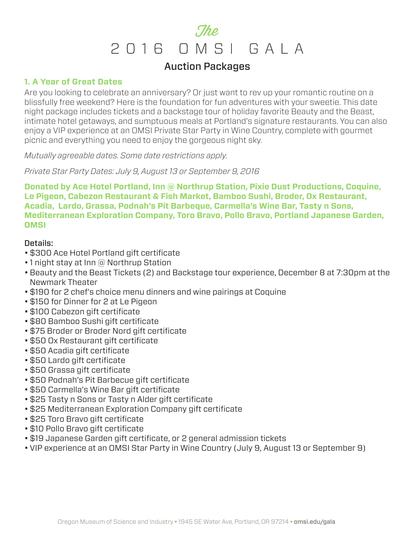## Auction Packages

## **1. A Year of Great Dates**

Are you looking to celebrate an anniversary? Or just want to rev up your romantic routine on a blissfully free weekend? Here is the foundation for fun adventures with your sweetie. This date night package includes tickets and a backstage tour of holiday favorite Beauty and the Beast, intimate hotel getaways, and sumptuous meals at Portland's signature restaurants. You can also enjoy a VIP experience at an OMSI Private Star Party in Wine Country, complete with gourmet picnic and everything you need to enjoy the gorgeous night sky.

*Mutually agreeable dates. Some date restrictions apply.*

*Private Star Party Dates: July 9, August 13 or September 9, 2016*

**Donated by Ace Hotel Portland, Inn @ Northrup Station, Pixie Dust Productions, Coquine, Le Pigeon, Cabezon Restaurant & Fish Market, Bamboo Sushi, Broder, Ox Restaurant, Acadia, Lardo, Grassa, Podnah's Pit Barbeque, Carmella's Wine Bar, Tasty n Sons, Mediterranean Exploration Company, Toro Bravo, Pollo Bravo, Portland Japanese Garden, OMSI**

- \$300 Ace Hotel Portland gift certificate
- 1 night stay at Inn @ Northrup Station
- Beauty and the Beast Tickets (2) and Backstage tour experience, December 8 at 7:30pm at the Newmark Theater
- \$190 for 2 chef's choice menu dinners and wine pairings at Coquine
- \$150 for Dinner for 2 at Le Pigeon
- \$100 Cabezon gift certificate
- \$80 Bamboo Sushi gift certificate
- \$75 Broder or Broder Nord gift certificate
- \$50 Ox Restaurant gift certificate
- \$50 Acadia gift certificate
- \$50 Lardo gift certificate
- \$50 Grassa gift certificate
- \$50 Podnah's Pit Barbecue gift certificate
- \$50 Carmella's Wine Bar gift certificate
- \$25 Tasty n Sons or Tasty n Alder gift certificate
- \$25 Mediterranean Exploration Company gift certificate
- \$25 Toro Bravo gift certificate
- \$10 Pollo Bravo gift certificate
- \$19 Japanese Garden gift certificate, or 2 general admission tickets
- VIP experience at an OMSI Star Party in Wine Country (July 9, August 13 or September 9)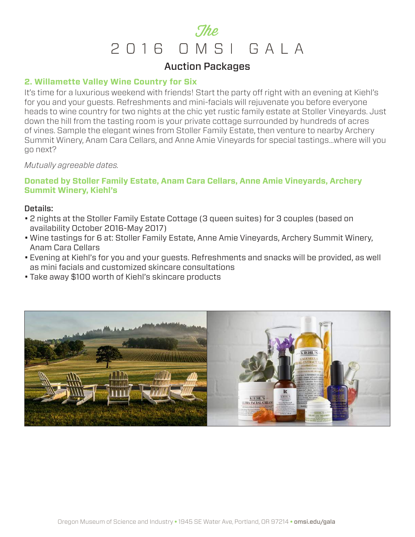## Auction Packages

## **2. Willamette Valley Wine Country for Six**

It's time for a luxurious weekend with friends! Start the party off right with an evening at Kiehl's for you and your guests. Refreshments and mini-facials will rejuvenate you before everyone heads to wine country for two nights at the chic yet rustic family estate at Stoller Vineyards. Just down the hill from the tasting room is your private cottage surrounded by hundreds of acres of vines. Sample the elegant wines from Stoller Family Estate, then venture to nearby Archery Summit Winery, Anam Cara Cellars, and Anne Amie Vineyards for special tastings…where will you go next?

#### *Mutually agreeable dates.*

## **Donated by Stoller Family Estate, Anam Cara Cellars, Anne Amie Vineyards, Archery Summit Winery, Kiehl's**

- 2 nights at the Stoller Family Estate Cottage (3 queen suites) for 3 couples (based on availability October 2016-May 2017)
- Wine tastings for 6 at: Stoller Family Estate, Anne Amie Vineyards, Archery Summit Winery, Anam Cara Cellars
- Evening at Kiehl's for you and your guests. Refreshments and snacks will be provided, as well as mini facials and customized skincare consultations
- Take away \$100 worth of Kiehl's skincare products

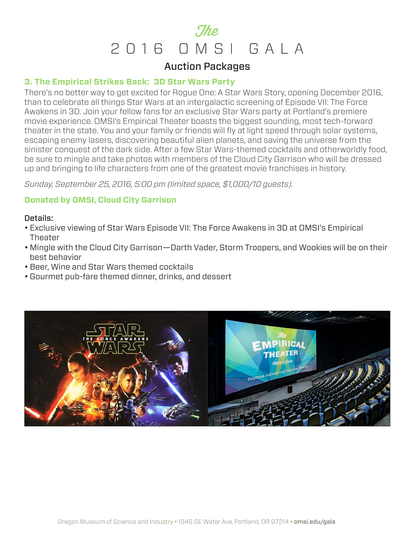## Auction Packages

### **3. The Empirical Strikes Back: 3D Star Wars Party**

There's no better way to get excited for Rogue One: A Star Wars Story, opening December 2016, than to celebrate all things Star Wars at an intergalactic screening of Episode VII: The Force Awakens in 3D. Join your fellow fans for an exclusive Star Wars party at Portland's premiere movie experience. OMSI's Empirical Theater boasts the biggest sounding, most tech-forward theater in the state. You and your family or friends will fly at light speed through solar systems, escaping enemy lasers, discovering beautiful alien planets, and saving the universe from the sinister conquest of the dark side. After a few Star Wars-themed cocktails and otherworldly food, be sure to mingle and take photos with members of the Cloud City Garrison who will be dressed up and bringing to life characters from one of the greatest movie franchises in history.

*Sunday, September 25, 2016, 5:00 pm (limited space, \$1,000/10 guests).*

## **Donated by OMSI, Cloud City Garrison**

- Exclusive viewing of Star Wars Episode VII: The Force Awakens in 3D at OMSI's Empirical **Theater**
- Mingle with the Cloud City Garrison—Darth Vader, Storm Troopers, and Wookies will be on their best behavior
- Beer, Wine and Star Wars themed cocktails
- Gourmet pub-fare themed dinner, drinks, and dessert

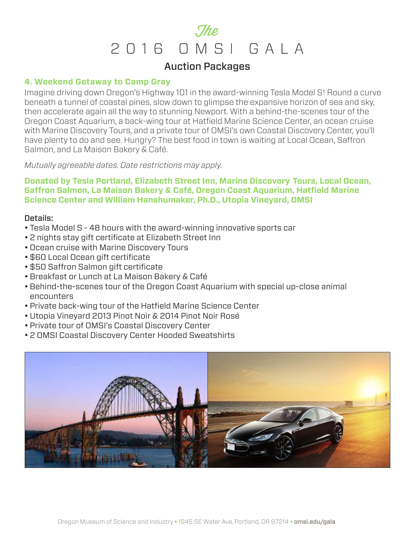## Auction Packages

### **4. Weekend Getaway to Camp Gray**

Imagine driving down Oregon's Highway 101 in the award-winning Tesla Model S! Round a curve beneath a tunnel of coastal pines, slow down to glimpse the expansive horizon of sea and sky, then accelerate again all the way to stunning Newport. With a behind-the-scenes tour of the Oregon Coast Aquarium, a back-wing tour at Hatfield Marine Science Center, an ocean cruise with Marine Discovery Tours, and a private tour of OMSI's own Coastal Discovery Center, you'll have plenty to do and see. Hungry? The best food in town is waiting at Local Ocean, Saffron Salmon, and La Maison Bakery & Café.

*Mutually agreeable dates. Date restrictions may apply.*

**Donated by Tesla Portland, Elizabeth Street Inn, Marine Discovery Tours, Local Ocean, Saffron Salmon, La Maison Bakery & Café, Oregon Coast Aquarium, Hatfield Marine Science Center and William Hanshumaker, Ph.D., Utopia Vineyard, OMSI**

- Tesla Model S 48 hours with the award-winning innovative sports car
- 2 nights stay gift certificate at Elizabeth Street Inn
- Ocean cruise with Marine Discovery Tours
- \$60 Local Ocean gift certificate
- \$50 Saffron Salmon gift certificate
- Breakfast or Lunch at La Maison Bakery & Café
- Behind-the-scenes tour of the Oregon Coast Aquarium with special up-close animal encounters
- Private back-wing tour of the Hatfield Marine Science Center
- Utopia Vineyard 2013 Pinot Noir & 2014 Pinot Noir Rosé
- Private tour of OMSI's Coastal Discovery Center
- 2 OMSI Coastal Discovery Center Hooded Sweatshirts

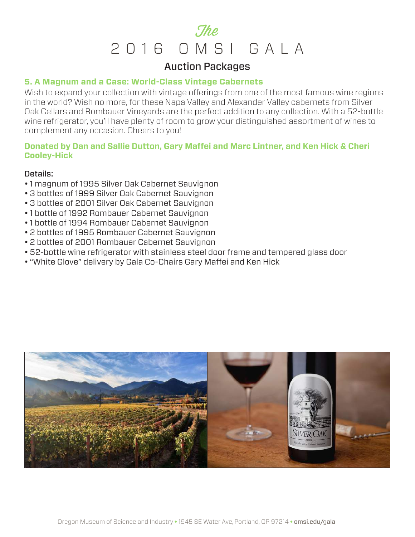## Auction Packages

### **5. A Magnum and a Case: World-Class Vintage Cabernets**

Wish to expand your collection with vintage offerings from one of the most famous wine regions in the world? Wish no more, for these Napa Valley and Alexander Valley cabernets from Silver Oak Cellars and Rombauer Vineyards are the perfect addition to any collection. With a 52-bottle wine refrigerator, you'll have plenty of room to grow your distinguished assortment of wines to complement any occasion. Cheers to you!

## **Donated by Dan and Sallie Dutton, Gary Maffei and Marc Lintner, and Ken Hick & Cheri Cooley-Hick**

- 1 magnum of 1995 Silver Oak Cabernet Sauvignon
- 3 bottles of 1999 Silver Oak Cabernet Sauvignon
- 3 bottles of 2001 Silver Oak Cabernet Sauvignon
- 1 bottle of 1992 Rombauer Cabernet Sauvignon
- 1 bottle of 1994 Rombauer Cabernet Sauvignon
- 2 bottles of 1995 Rombauer Cabernet Sauvignon
- 2 bottles of 2001 Rombauer Cabernet Sauvignon
- 52-bottle wine refrigerator with stainless steel door frame and tempered glass door
- "White Glove" delivery by Gala Co-Chairs Gary Maffei and Ken Hick

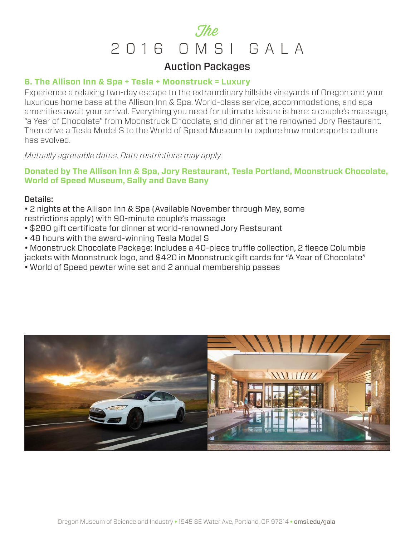## Auction Packages

## **6. The Allison Inn & Spa + Tesla + Moonstruck = Luxury**

Experience a relaxing two-day escape to the extraordinary hillside vineyards of Oregon and your luxurious home base at the Allison Inn & Spa. World-class service, accommodations, and spa amenities await your arrival. Everything you need for ultimate leisure is here: a couple's massage, "a Year of Chocolate" from Moonstruck Chocolate, and dinner at the renowned Jory Restaurant. Then drive a Tesla Model S to the World of Speed Museum to explore how motorsports culture has evolved.

*Mutually agreeable dates. Date restrictions may apply.*

## **Donated by The Allison Inn & Spa, Jory Restaurant, Tesla Portland, Moonstruck Chocolate, World of Speed Museum, Sally and Dave Bany**

## Details:

• 2 nights at the Allison Inn & Spa (Available November through May, some restrictions apply) with 90-minute couple's massage

- \$280 gift certificate for dinner at world-renowned Jory Restaurant
- 48 hours with the award-winning Tesla Model S
- Moonstruck Chocolate Package: Includes a 40-piece truffle collection, 2 fleece Columbia jackets with Moonstruck logo, and \$420 in Moonstruck gift cards for "A Year of Chocolate"
- World of Speed pewter wine set and 2 annual membership passes

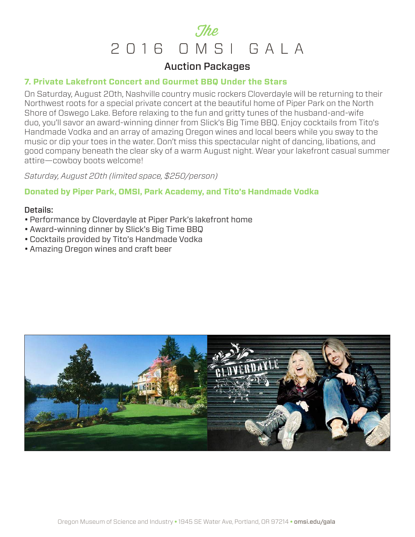## Auction Packages

### **7. Private Lakefront Concert and Gourmet BBQ Under the Stars**

On Saturday, August 20th, Nashville country music rockers Cloverdayle will be returning to their Northwest roots for a special private concert at the beautiful home of Piper Park on the North Shore of Oswego Lake. Before relaxing to the fun and gritty tunes of the husband-and-wife duo, you'll savor an award-winning dinner from Slick's Big Time BBQ. Enjoy cocktails from Tito's Handmade Vodka and an array of amazing Oregon wines and local beers while you sway to the music or dip your toes in the water. Don't miss this spectacular night of dancing, libations, and good company beneath the clear sky of a warm August night. Wear your lakefront casual summer attire—cowboy boots welcome!

*Saturday, August 20th (limited space, \$250/person)*

## **Donated by Piper Park, OMSI, Park Academy, and Tito's Handmade Vodka**

- Performance by Cloverdayle at Piper Park's lakefront home
- Award-winning dinner by Slick's Big Time BBQ
- Cocktails provided by Tito's Handmade Vodka
- Amazing Oregon wines and craft beer

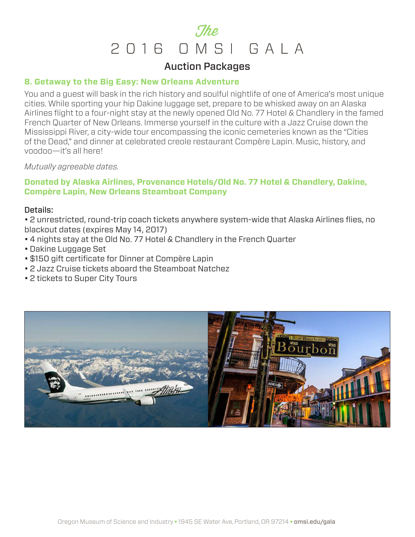## Auction Packages

#### **8. Getaway to the Big Easy: New Orleans Adventure**

You and a guest will bask in the rich history and soulful nightlife of one of America's most unique cities. While sporting your hip Dakine luggage set, prepare to be whisked away on an Alaska Airlines flight to a four-night stay at the newly opened Old No. 77 Hotel & Chandlery in the famed French Quarter of New Orleans. Immerse yourself in the culture with a Jazz Cruise down the Mississippi River, a city-wide tour encompassing the iconic cemeteries known as the "Cities of the Dead," and dinner at celebrated creole restaurant Compère Lapin. Music, history, and voodoo—it's all here!

#### *Mutually agreeable dates.*

## **Donated by Alaska Airlines, Provenance Hotels/Old No. 77 Hotel & Chandlery, Dakine, Compère Lapin, New Orleans Steamboat Company**

#### Details:

• 2 unrestricted, round-trip coach tickets anywhere system-wide that Alaska Airlines flies, no blackout dates (expires May 14, 2017)

- 4 nights stay at the Old No. 77 Hotel & Chandlery in the French Quarter
- Dakine Luggage Set
- \$150 gift certificate for Dinner at Compère Lapin
- 2 Jazz Cruise tickets aboard the Steamboat Natchez
- 2 tickets to Super City Tours

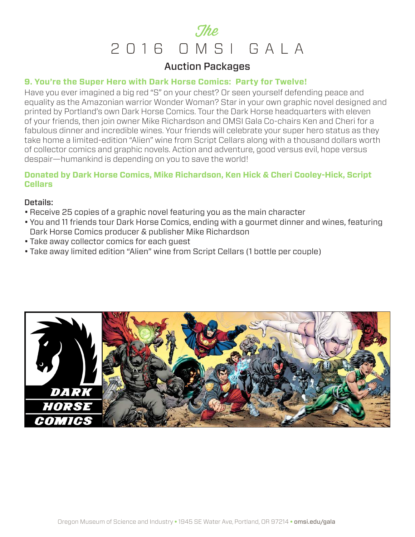## Auction Packages

### **9. You're the Super Hero with Dark Horse Comics: Party for Twelve!**

Have you ever imagined a big red "S" on your chest? Or seen yourself defending peace and equality as the Amazonian warrior Wonder Woman? Star in your own graphic novel designed and printed by Portland's own Dark Horse Comics. Tour the Dark Horse headquarters with eleven of your friends, then join owner Mike Richardson and OMSI Gala Co-chairs Ken and Cheri for a fabulous dinner and incredible wines. Your friends will celebrate your super hero status as they take home a limited-edition "Alien" wine from Script Cellars along with a thousand dollars worth of collector comics and graphic novels. Action and adventure, good versus evil, hope versus despair—humankind is depending on you to save the world!

## **Donated by Dark Horse Comics, Mike Richardson, Ken Hick & Cheri Cooley-Hick, Script Cellars**

- Receive 25 copies of a graphic novel featuring you as the main character
- You and 11 friends tour Dark Horse Comics, ending with a gourmet dinner and wines, featuring Dark Horse Comics producer & publisher Mike Richardson
- Take away collector comics for each guest
- Take away limited edition "Alien" wine from Script Cellars (1 bottle per couple)

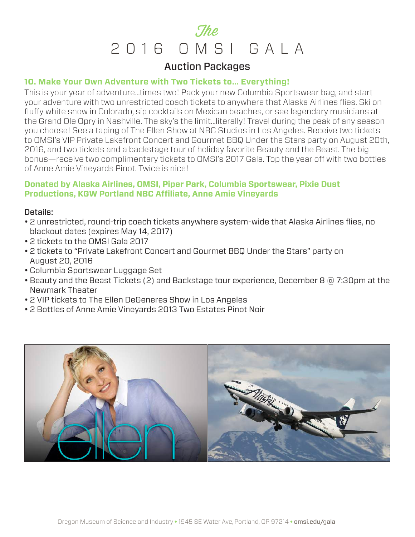## Auction Packages

### **10. Make Your Own Adventure with Two Tickets to… Everything!**

This is your year of adventure…times two! Pack your new Columbia Sportswear bag, and start your adventure with two unrestricted coach tickets to anywhere that Alaska Airlines flies. Ski on fluffy white snow in Colorado, sip cocktails on Mexican beaches, or see legendary musicians at the Grand Ole Opry in Nashville. The sky's the limit…literally! Travel during the peak of any season you choose! See a taping of The Ellen Show at NBC Studios in Los Angeles. Receive two tickets to OMSI's VIP Private Lakefront Concert and Gourmet BBQ Under the Stars party on August 20th, 2016, and two tickets and a backstage tour of holiday favorite Beauty and the Beast. The big bonus—receive two complimentary tickets to OMSI's 2017 Gala. Top the year off with two bottles of Anne Amie Vineyards Pinot. Twice is nice!

## **Donated by Alaska Airlines, OMSI, Piper Park, Columbia Sportswear, Pixie Dust Productions, KGW Portland NBC Affiliate, Anne Amie Vineyards**

- 2 unrestricted, round-trip coach tickets anywhere system-wide that Alaska Airlines flies, no blackout dates (expires May 14, 2017)
- 2 tickets to the OMSI Gala 2017
- 2 tickets to "Private Lakefront Concert and Gourmet BBQ Under the Stars" party on August 20, 2016
- Columbia Sportswear Luggage Set
- Beauty and the Beast Tickets (2) and Backstage tour experience, December 8  $\textcircled{a}$  7:30pm at the Newmark Theater
- 2 VIP tickets to The Ellen DeGeneres Show in Los Angeles
- 2 Bottles of Anne Amie Vineyards 2013 Two Estates Pinot Noir